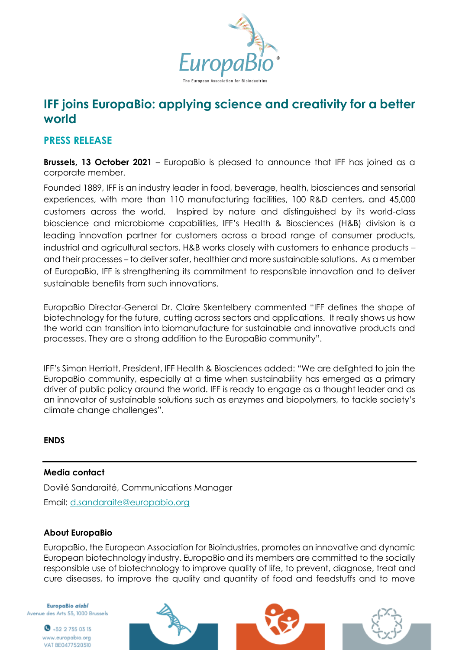

# **IFF joins EuropaBio: applying science and creativity for a better world**

## **PRESS RELEASE**

**Brussels, 13 October 2021** – EuropaBio is pleased to announce that IFF has joined as a corporate member.

Founded 1889, IFF is an industry leader in food, beverage, health, biosciences and sensorial experiences, with more than 110 manufacturing facilities, 100 R&D centers, and 45,000 customers across the world. Inspired by nature and distinguished by its world-class bioscience and microbiome capabilities, IFF's Health & Biosciences (H&B) division is a leading innovation partner for customers across a broad range of consumer products, industrial and agricultural sectors. H&B works closely with customers to enhance products – and their processes – to deliver safer, healthier and more sustainable solutions. As a member of EuropaBio, IFF is strengthening its commitment to responsible innovation and to deliver sustainable benefits from such innovations.

EuropaBio Director-General Dr. Claire Skentelbery commented "IFF defines the shape of biotechnology for the future, cutting across sectors and applications. It really shows us how the world can transition into biomanufacture for sustainable and innovative products and processes. They are a strong addition to the EuropaBio community".

IFF's Simon Herriott, President, IFF Health & Biosciences added: "We are delighted to join the EuropaBio community, especially at a time when sustainability has emerged as a primary driver of public policy around the world. IFF is ready to engage as a thought leader and as an innovator of sustainable solutions such as enzymes and biopolymers, to tackle society's climate change challenges".

### **ENDS**

### **Media contact**

Dovilé Sandaraité, Communications Manager Email: [d.sandaraite@europabio.org](mailto:d.sandaraite@europabio.org)

### **About EuropaBio**

EuropaBio, the European Association for Bioindustries, promotes an innovative and dynamic European biotechnology industry. EuropaBio and its members are committed to the socially responsible use of biotechnology to improve quality of life, to prevent, diagnose, treat and cure diseases, to improve the quality and quantity of food and feedstuffs and to move

EuropaBio aisbl Avenue des Arts 53, 1000 Brussels

> $\bullet$  +32 2 735 03 13 www.europabio.org VAT BE0477520310